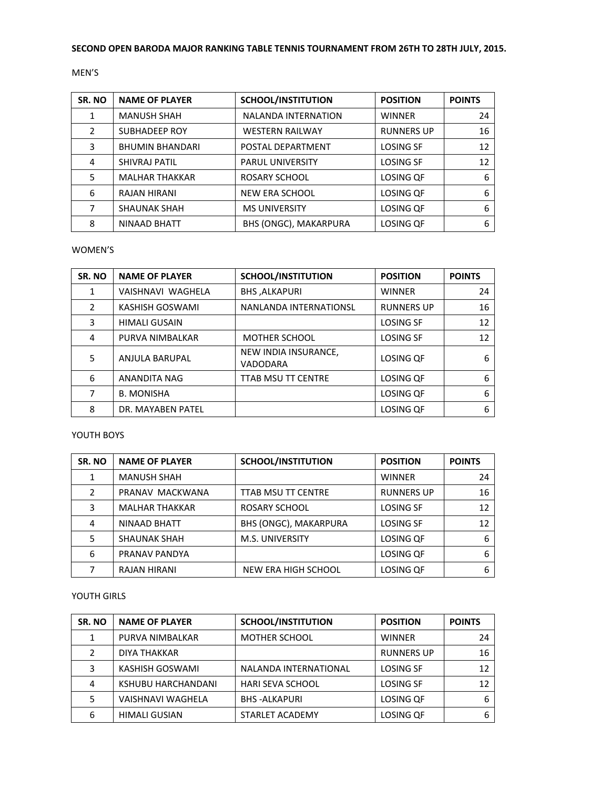#### **SECOND OPEN BARODA MAJOR RANKING TABLE TENNIS TOURNAMENT FROM 26TH TO 28TH JULY, 2015.**

| SR. NO         | <b>NAME OF PLAYER</b>  | <b>SCHOOL/INSTITUTION</b>  | <b>POSITION</b>   | <b>POINTS</b> |
|----------------|------------------------|----------------------------|-------------------|---------------|
| 1              | <b>MANUSH SHAH</b>     | <b>NALANDA INTERNATION</b> | <b>WINNER</b>     | 24            |
| $\mathfrak{p}$ | <b>SUBHADEEP ROY</b>   | <b>WESTERN RAILWAY</b>     | <b>RUNNERS UP</b> | 16            |
| 3              | <b>BHUMIN BHANDARI</b> | POSTAL DEPARTMENT          | <b>LOSING SF</b>  | 12            |
| 4              | <b>SHIVRAJ PATIL</b>   | <b>PARUL UNIVERSITY</b>    | <b>LOSING SF</b>  | 12            |
| 5              | <b>MALHAR THAKKAR</b>  | ROSARY SCHOOL              | LOSING OF         | 6             |
| 6              | RAJAN HIRANI           | <b>NEW ERA SCHOOL</b>      | <b>LOSING QF</b>  | 6             |
| 7              | <b>SHAUNAK SHAH</b>    | <b>MS UNIVERSITY</b>       | <b>LOSING QF</b>  | 6             |
| 8              | <b>NINAAD BHATT</b>    | BHS (ONGC), MAKARPURA      | <b>LOSING QF</b>  | 6             |

## MEN'S

#### WOMEN'S

| SR. NO        | <b>NAME OF PLAYER</b> | <b>SCHOOL/INSTITUTION</b>               | <b>POSITION</b>   | <b>POINTS</b> |
|---------------|-----------------------|-----------------------------------------|-------------------|---------------|
|               | VAISHNAVI WAGHELA     | <b>BHS, ALKAPURI</b>                    | <b>WINNER</b>     | 24            |
| $\mathcal{L}$ | KASHISH GOSWAMI       | NANLANDA INTERNATIONSL                  | <b>RUNNERS UP</b> | 16            |
| 3             | <b>HIMALI GUSAIN</b>  |                                         | <b>LOSING SF</b>  | 12            |
| 4             | PURVA NIMBALKAR       | <b>MOTHER SCHOOL</b>                    | <b>LOSING SF</b>  | 12            |
| 5.            | ANJULA BARUPAL        | NEW INDIA INSURANCE,<br><b>VADODARA</b> | <b>LOSING OF</b>  | 6             |
| 6             | ANANDITA NAG          | <b>TTAB MSU TT CENTRE</b>               | LOSING OF         | 6             |
| 7             | <b>B. MONISHA</b>     |                                         | LOSING OF         | 6             |
| 8             | DR. MAYABEN PATEL     |                                         | LOSING QF         | 6             |

#### YOUTH BOYS

| SR. NO | <b>NAME OF PLAYER</b> | <b>SCHOOL/INSTITUTION</b>  | <b>POSITION</b>   | <b>POINTS</b> |
|--------|-----------------------|----------------------------|-------------------|---------------|
| 1      | <b>MANUSH SHAH</b>    |                            | <b>WINNER</b>     | 24            |
| 2      | PRANAV MACKWANA       | <b>TTAB MSU TT CENTRE</b>  | <b>RUNNERS UP</b> | 16            |
| 3      | <b>MALHAR THAKKAR</b> | ROSARY SCHOOL              | <b>LOSING SF</b>  | 12            |
| 4      | NINAAD BHATT          | BHS (ONGC), MAKARPURA      | <b>LOSING SF</b>  | 12            |
| 5.     | <b>SHAUNAK SHAH</b>   | M.S. UNIVERSITY            | <b>LOSING OF</b>  | 6             |
| 6      | PRANAV PANDYA         |                            | <b>LOSING OF</b>  | 6             |
|        | RAJAN HIRANI          | <b>NEW ERA HIGH SCHOOL</b> | <b>LOSING QF</b>  | 6             |

## YOUTH GIRLS

| SR. NO | <b>NAME OF PLAYER</b>     | <b>SCHOOL/INSTITUTION</b> | <b>POSITION</b>   | <b>POINTS</b> |
|--------|---------------------------|---------------------------|-------------------|---------------|
|        | PURVA NIMBALKAR           | <b>MOTHER SCHOOL</b>      | <b>WINNER</b>     | 24            |
| 2      | DIYA THAKKAR              |                           | <b>RUNNERS UP</b> | 16            |
| 3      | KASHISH GOSWAMI           | NALANDA INTERNATIONAL     | <b>LOSING SF</b>  | 12            |
| 4      | <b>KSHUBU HARCHANDANI</b> | <b>HARI SEVA SCHOOL</b>   | <b>LOSING SF</b>  | 12            |
| 5      | <b>VAISHNAVI WAGHELA</b>  | <b>BHS-ALKAPURI</b>       | LOSING OF         | 6             |
| 6      | <b>HIMALI GUSIAN</b>      | STARLET ACADEMY           | LOSING OF         | 6             |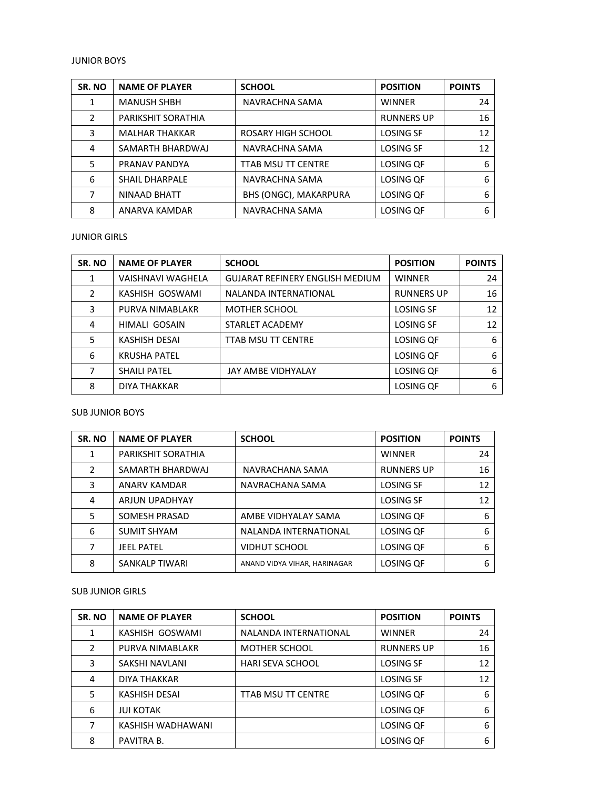#### JUNIOR BOYS

| SR. NO        | <b>NAME OF PLAYER</b> | <b>SCHOOL</b>             | <b>POSITION</b>   | <b>POINTS</b> |
|---------------|-----------------------|---------------------------|-------------------|---------------|
|               | <b>MANUSH SHBH</b>    | NAVRACHNA SAMA            | <b>WINNER</b>     | 24            |
| $\mathcal{L}$ | PARIKSHIT SORATHIA    |                           | <b>RUNNERS UP</b> | 16            |
| 3             | <b>MALHAR THAKKAR</b> | ROSARY HIGH SCHOOL        | <b>LOSING SF</b>  | 12            |
| 4             | SAMARTH BHARDWAJ      | NAVRACHNA SAMA            | <b>LOSING SF</b>  | 12            |
| 5             | PRANAV PANDYA         | <b>TTAB MSU TT CENTRE</b> | LOSING OF         | 6             |
| 6             | <b>SHAIL DHARPALE</b> | NAVRACHNA SAMA            | <b>LOSING QF</b>  | 6             |
| 7             | NINAAD BHATT          | BHS (ONGC), MAKARPURA     | LOSING OF         | 6             |
| 8             | ANARVA KAMDAR         | NAVRACHNA SAMA            | <b>LOSING QF</b>  | 6             |

## JUNIOR GIRLS

| SR. NO | <b>NAME OF PLAYER</b> | <b>SCHOOL</b>                          | <b>POSITION</b>   | <b>POINTS</b> |
|--------|-----------------------|----------------------------------------|-------------------|---------------|
|        | VAISHNAVI WAGHELA     | <b>GUJARAT REFINERY ENGLISH MEDIUM</b> | <b>WINNFR</b>     | 24            |
| 2      | KASHISH GOSWAMI       | NALANDA INTERNATIONAL                  | <b>RUNNERS UP</b> | 16            |
| 3      | PURVA NIMABLAKR       | <b>MOTHER SCHOOL</b>                   | <b>LOSING SF</b>  | 12            |
| 4      | <b>HIMALI GOSAIN</b>  | STARLET ACADEMY                        | <b>LOSING SF</b>  | 12            |
| 5      | <b>KASHISH DESAI</b>  | <b>TTAB MSU TT CENTRE</b>              | <b>LOSING QF</b>  | 6             |
| 6      | <b>KRUSHA PATEL</b>   |                                        | <b>LOSING QF</b>  | 6             |
| 7      | <b>SHAILI PATEL</b>   | JAY AMBE VIDHYALAY                     | LOSING QF         | 6             |
| 8      | DIYA THAKKAR          |                                        | LOSING QF         | 6             |

## SUB JUNIOR BOYS

| SR. NO         | <b>NAME OF PLAYER</b> | <b>SCHOOL</b>                | <b>POSITION</b>   | <b>POINTS</b> |
|----------------|-----------------------|------------------------------|-------------------|---------------|
|                | PARIKSHIT SORATHIA    |                              | <b>WINNER</b>     | 24            |
| $\mathfrak{p}$ | SAMARTH BHARDWAJ      | NAVRACHANA SAMA              | <b>RUNNERS UP</b> | 16            |
| 3              | ANARV KAMDAR          | NAVRACHANA SAMA              | <b>LOSING SF</b>  | 12            |
| 4              | ARJUN UPADHYAY        |                              | <b>LOSING SF</b>  | 12            |
| 5              | SOMESH PRASAD         | AMBE VIDHYALAY SAMA          | LOSING OF         | 6             |
| 6              | <b>SUMIT SHYAM</b>    | NALANDA INTERNATIONAL        | LOSING OF         | 6             |
| 7              | <b>JEEL PATEL</b>     | <b>VIDHUT SCHOOL</b>         | <b>LOSING OF</b>  | 6             |
| 8              | <b>SANKALP TIWARI</b> | ANAND VIDYA VIHAR, HARINAGAR | <b>LOSING OF</b>  | 6             |

### SUB JUNIOR GIRLS

| SR. NO         | <b>NAME OF PLAYER</b> | <b>SCHOOL</b>             | <b>POSITION</b>   | <b>POINTS</b> |
|----------------|-----------------------|---------------------------|-------------------|---------------|
|                | KASHISH GOSWAMI       | NALANDA INTERNATIONAL     | <b>WINNER</b>     | 24            |
| $\mathfrak{p}$ | PURVA NIMABLAKR       | <b>MOTHER SCHOOL</b>      | <b>RUNNERS UP</b> | 16            |
| 3              | SAKSHI NAVLANI        | <b>HARI SEVA SCHOOL</b>   | <b>LOSING SF</b>  | 12            |
| 4              | DIYA THAKKAR          |                           | <b>LOSING SF</b>  | 12            |
| 5              | <b>KASHISH DESAI</b>  | <b>TTAB MSU TT CENTRE</b> | LOSING OF         | 6             |
| 6              | <b>JUI KOTAK</b>      |                           | <b>LOSING QF</b>  | 6             |
| 7              | KASHISH WADHAWANI     |                           | LOSING OF         | 6             |
| 8              | PAVITRA B.            |                           | LOSING OF         | 6             |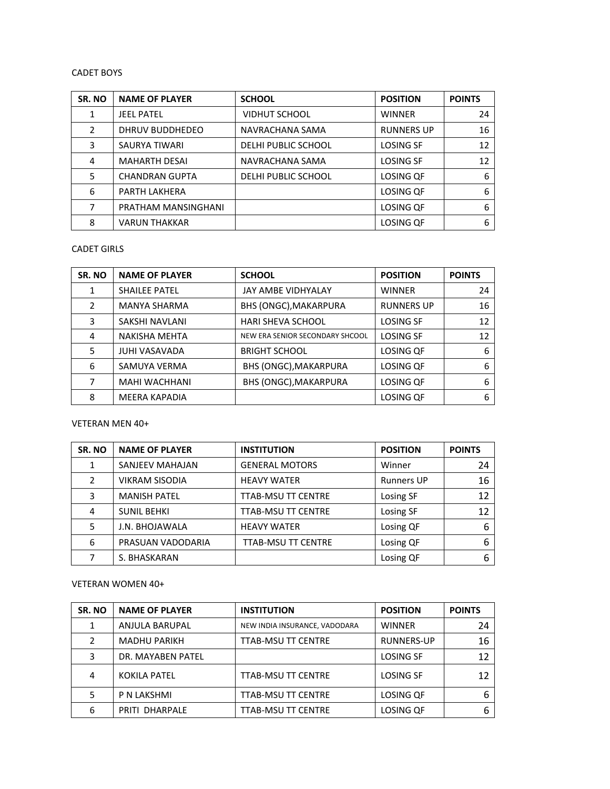## CADET BOYS

| SR. NO        | <b>NAME OF PLAYER</b> | <b>SCHOOL</b>        | <b>POSITION</b>   | <b>POINTS</b> |
|---------------|-----------------------|----------------------|-------------------|---------------|
|               | JEEL PATEL            | <b>VIDHUT SCHOOL</b> | <b>WINNER</b>     | 24            |
| $\mathcal{L}$ | DHRUV BUDDHEDEO       | NAVRACHANA SAMA      | <b>RUNNERS UP</b> | 16            |
| 3             | SAURYA TIWARI         | DELHI PUBLIC SCHOOL  | <b>LOSING SF</b>  | 12            |
| 4             | <b>MAHARTH DESAL</b>  | NAVRACHANA SAMA      | <b>LOSING SF</b>  | 12            |
| 5.            | <b>CHANDRAN GUPTA</b> | DELHI PUBLIC SCHOOL  | LOSING OF         | 6             |
| 6             | PARTH LAKHERA         |                      | <b>LOSING QF</b>  | 6             |
| 7             | PRATHAM MANSINGHANI   |                      | LOSING OF         | 6             |
| 8             | <b>VARUN THAKKAR</b>  |                      | LOSING OF         | 6             |

# CADET GIRLS

| SR. NO        | <b>NAME OF PLAYER</b> | <b>SCHOOL</b>                   | <b>POSITION</b>   | <b>POINTS</b> |
|---------------|-----------------------|---------------------------------|-------------------|---------------|
| 1             | <b>SHAILEE PATEL</b>  | <b>JAY AMBE VIDHYALAY</b>       | <b>WINNER</b>     | 24            |
| $\mathcal{L}$ | <b>MANYA SHARMA</b>   | BHS (ONGC), MAKARPURA           | <b>RUNNERS UP</b> | 16            |
| 3             | SAKSHI NAVLANI        | <b>HARI SHEVA SCHOOL</b>        | <b>LOSING SF</b>  | 12            |
| 4             | <b>NAKISHA MEHTA</b>  | NEW ERA SENIOR SECONDARY SHCOOL | <b>LOSING SF</b>  | 12            |
| 5             | JUHI VASAVADA         | <b>BRIGHT SCHOOL</b>            | LOSING QF         | 6             |
| 6             | SAMUYA VERMA          | BHS (ONGC), MAKARPURA           | <b>LOSING OF</b>  | 6             |
| 7             | <b>MAHI WACHHANI</b>  | BHS (ONGC), MAKARPURA           | LOSING QF         | 6             |
| 8             | MEERA KAPADIA         |                                 | LOSING QF         | 6             |

VETERAN MEN 40+

| SR. NO | <b>NAME OF PLAYER</b> | <b>INSTITUTION</b>        | <b>POSITION</b>   | <b>POINTS</b> |
|--------|-----------------------|---------------------------|-------------------|---------------|
| 1      | SANJEEV MAHAJAN       | <b>GENERAL MOTORS</b>     | Winner            | 24            |
|        | <b>VIKRAM SISODIA</b> | <b>HEAVY WATER</b>        | <b>Runners UP</b> | 16            |
| 3      | <b>MANISH PATEL</b>   | <b>TTAB-MSU TT CENTRE</b> | Losing SF         | 12            |
| 4      | <b>SUNIL BEHKI</b>    | <b>TTAB-MSU TT CENTRE</b> | Losing SF         | 12            |
| 5      | J.N. BHOJAWALA        | <b>HEAVY WATER</b>        | Losing QF         | 6             |
| 6      | PRASUAN VADODARIA     | TTAB-MSU TT CENTRE        | Losing QF         | 6             |
|        | S. BHASKARAN          |                           | Losing QF         | 6             |

## VETERAN WOMEN 40+

| SR. NO | <b>NAME OF PLAYER</b> | <b>INSTITUTION</b>            | <b>POSITION</b>   | <b>POINTS</b> |
|--------|-----------------------|-------------------------------|-------------------|---------------|
| 1      | ANJULA BARUPAL        | NEW INDIA INSURANCE, VADODARA | <b>WINNER</b>     | 24            |
|        | <b>MADHU PARIKH</b>   | <b>TTAB-MSU TT CENTRE</b>     | <b>RUNNERS-UP</b> | 16            |
| 3      | DR. MAYABEN PATEL     |                               | <b>LOSING SF</b>  | 12            |
| 4      | <b>KOKILA PATEL</b>   | <b>TTAB-MSU TT CENTRE</b>     | <b>LOSING SF</b>  | 12            |
| 5.     | P N LAKSHMI           | <b>TTAB-MSU TT CENTRE</b>     | <b>LOSING OF</b>  | 6             |
| 6      | PRITI DHARPALE        | <b>TTAB-MSU TT CENTRE</b>     | <b>LOSING OF</b>  | 6             |